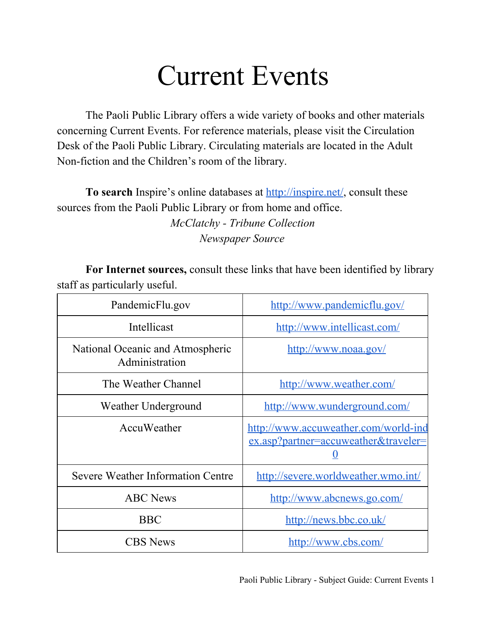## Current Events

The Paoli Public Library offers a wide variety of books and other materials concerning Current Events. For reference materials, please visit the Circulation Desk of the Paoli Public Library. Circulating materials are located in the Adult Non-fiction and the Children's room of the library.

**To search** Inspire's online databases at [http://inspire.net/,](http://www.google.com/url?q=http%3A%2F%2Finspire.net%2F&sa=D&sntz=1&usg=AFQjCNGmG_5xOU01M_eGdBZ4K6icPucxZA) consult these sources from the Paoli Public Library or from home and office.

*McClatchy Tribune Collection Newspaper Source*

**For Internet sources,** consult these links that have been identified by library staff as particularly useful.

| PandemicFlu.gov                                    | http://www.pandemicflu.gov/                                                  |
|----------------------------------------------------|------------------------------------------------------------------------------|
| Intellicast                                        | http://www.intellicast.com/                                                  |
| National Oceanic and Atmospheric<br>Administration | http://www.noaa.gov/                                                         |
| The Weather Channel                                | http://www.weather.com/                                                      |
| Weather Underground                                | http://www.wunderground.com/                                                 |
| AccuWeather                                        | http://www.accuweather.com/world-ind<br>ex.asp?partner=accuweather&traveler= |
| Severe Weather Information Centre                  | http://severe.worldweather.wmo.int/                                          |
| <b>ABC</b> News                                    | http://www.abcnews.go.com/                                                   |
| <b>BBC</b>                                         | http://news.bbc.co.uk/                                                       |
| <b>CBS</b> News                                    | http://www.cbs.com/                                                          |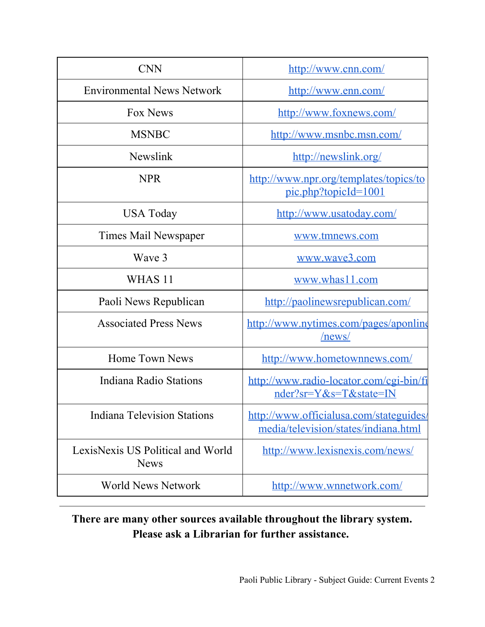| <b>CNN</b>                                       | http://www.cnn.com/                                                             |
|--------------------------------------------------|---------------------------------------------------------------------------------|
| <b>Environmental News Network</b>                | http://www.enn.com/                                                             |
| Fox News                                         | http://www.foxnews.com/                                                         |
| <b>MSNBC</b>                                     | http://www.msnbc.msn.com/                                                       |
| Newslink                                         | http://newslink.org/                                                            |
| <b>NPR</b>                                       | http://www.npr.org/templates/topics/to<br>pic.php?topicId=1001                  |
| USA Today                                        | http://www.usatoday.com/                                                        |
| Times Mail Newspaper                             | www.tmnews.com                                                                  |
| Wave 3                                           | www.wave3.com                                                                   |
| WHAS <sub>11</sub>                               | www.whas11.com                                                                  |
| Paoli News Republican                            | http://paolinewsrepublican.com/                                                 |
| <b>Associated Press News</b>                     | http://www.nytimes.com/pages/aponline<br>/news/                                 |
| <b>Home Town News</b>                            | http://www.hometownnews.com/                                                    |
| Indiana Radio Stations                           | http://www.radio-locator.com/cgi-bin/fi<br>nder?sr=Y&s=T&state=IN               |
| <b>Indiana Television Stations</b>               | http://www.officialusa.com/stateguides/<br>media/television/states/indiana.html |
| LexisNexis US Political and World<br><b>News</b> | http://www.lexisnexis.com/news/                                                 |
| <b>World News Network</b>                        | http://www.wnnetwork.com/                                                       |

## **There are many other sources available throughout the library system. Please ask a Librarian for further assistance.**